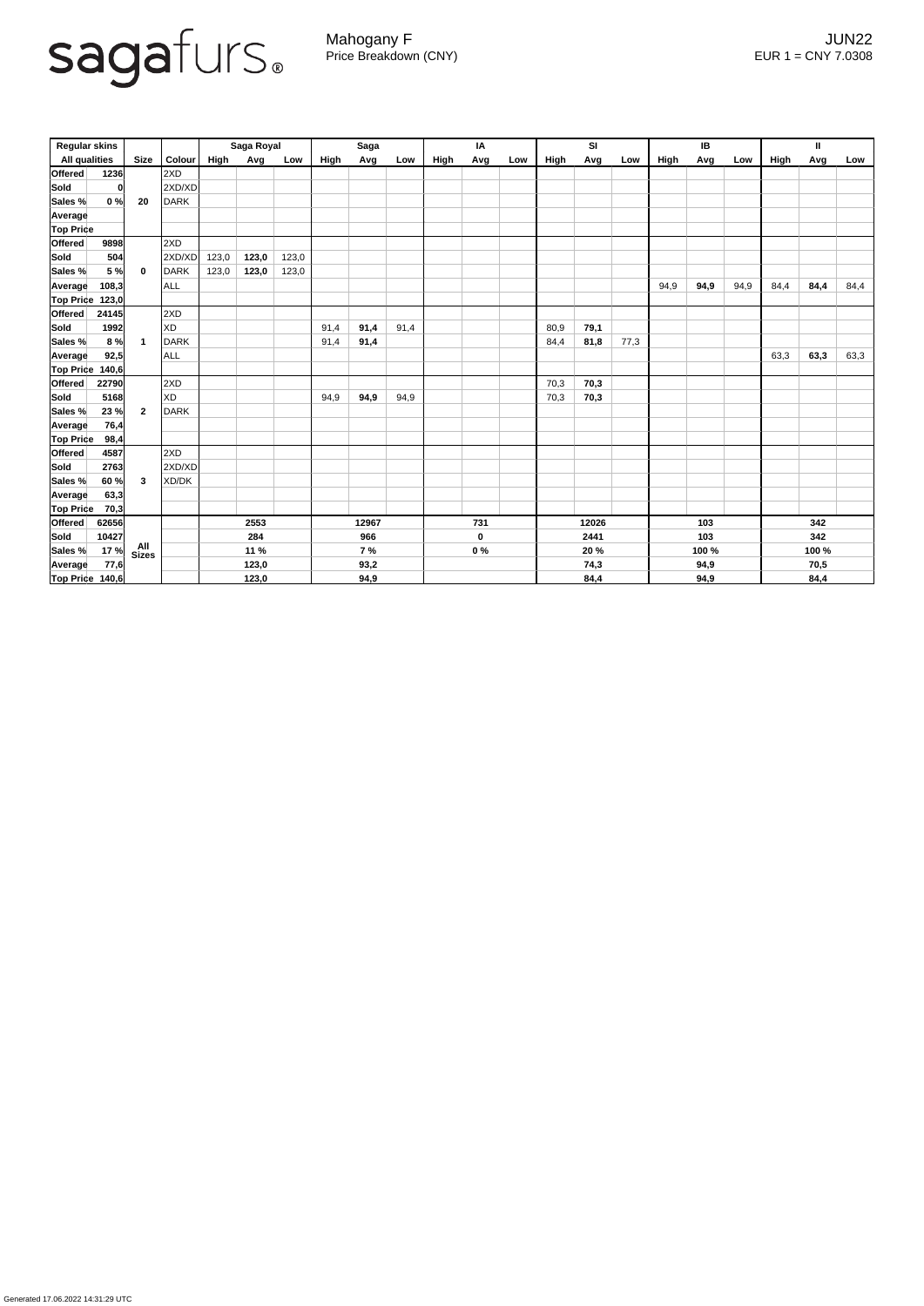

Generated 17.06.2022 14:31:29 UTC

Mahogany F JUN22 Price Breakdown (CNY) EUR 1 = CNY 7.0308

| <b>Regular skins</b>                |       |                         | Saga Royal  |       |       | <b>Saga</b> |      |             | IA    |       |      | SI   |       |      | IB    |      |      | Ш    |      |      |      |
|-------------------------------------|-------|-------------------------|-------------|-------|-------|-------------|------|-------------|-------|-------|------|------|-------|------|-------|------|------|------|------|------|------|
| <b>All qualities</b><br><b>Size</b> |       | <b>Colour</b>           | <b>High</b> | Avg   | Low   | High        | Avg  | Low         | High  | Avg   | Low  | High | Avg   | Low  | High  | Avg  | Low  | High | Avg  | Low  |      |
| Offered                             | 1236  |                         | 2XD         |       |       |             |      |             |       |       |      |      |       |      |       |      |      |      |      |      |      |
| Sold                                | 0     |                         | 2XD/XD      |       |       |             |      |             |       |       |      |      |       |      |       |      |      |      |      |      |      |
| Sales %                             | 0%    | 20                      | <b>DARK</b> |       |       |             |      |             |       |       |      |      |       |      |       |      |      |      |      |      |      |
| Average                             |       |                         |             |       |       |             |      |             |       |       |      |      |       |      |       |      |      |      |      |      |      |
| <b>Top Price</b>                    |       |                         |             |       |       |             |      |             |       |       |      |      |       |      |       |      |      |      |      |      |      |
| Offered                             | 9898  |                         | 2XD         |       |       |             |      |             |       |       |      |      |       |      |       |      |      |      |      |      |      |
| <b>Sold</b>                         | 504   |                         | 2XD/XD      | 123,0 | 123,0 | 123,0       |      |             |       |       |      |      |       |      |       |      |      |      |      |      |      |
| Sales %                             | 5 %   | $\mathbf 0$             | <b>DARK</b> | 123,0 | 123,0 | 123,0       |      |             |       |       |      |      |       |      |       |      |      |      |      |      |      |
| <b>Average</b>                      | 108,3 |                         | <b>ALL</b>  |       |       |             |      |             |       |       |      |      |       |      |       | 94,9 | 94,9 | 94,9 | 84,4 | 84,4 | 84,4 |
| <b>Top Price</b>                    | 123,0 |                         |             |       |       |             |      |             |       |       |      |      |       |      |       |      |      |      |      |      |      |
| Offered                             | 24145 |                         | 2XD         |       |       |             |      |             |       |       |      |      |       |      |       |      |      |      |      |      |      |
| Sold                                | 1992  |                         | XD          |       |       |             | 91,4 | 91,4        | 91,4  |       |      |      | 80,9  | 79,1 |       |      |      |      |      |      |      |
| Sales %                             | 8%    | $\overline{\mathbf{1}}$ | <b>DARK</b> |       |       |             | 91,4 | 91,4        |       |       |      |      | 84,4  | 81,8 | 77,3  |      |      |      |      |      |      |
| <b>Average</b>                      | 92,5  |                         | ALL         |       |       |             |      |             |       |       |      |      |       |      |       |      |      |      | 63,3 | 63,3 | 63,3 |
| Top Price                           | 140,6 |                         |             |       |       |             |      |             |       |       |      |      |       |      |       |      |      |      |      |      |      |
| Offered                             | 22790 |                         | 2XD         |       |       |             |      |             |       |       |      |      | 70,3  | 70,3 |       |      |      |      |      |      |      |
| <b>Sold</b>                         | 5168  | $\overline{2}$          | <b>XD</b>   |       |       |             | 94,9 | 94,9        | 94,9  |       |      |      | 70,3  | 70,3 |       |      |      |      |      |      |      |
| Sales %                             | 23%   |                         | <b>DARK</b> |       |       |             |      |             |       |       |      |      |       |      |       |      |      |      |      |      |      |
| <b>Average</b>                      | 76,4  |                         |             |       |       |             |      |             |       |       |      |      |       |      |       |      |      |      |      |      |      |
| <b>Top Price</b>                    | 98,4  |                         |             |       |       |             |      |             |       |       |      |      |       |      |       |      |      |      |      |      |      |
| <b>Offered</b>                      | 4587  |                         | 2XD         |       |       |             |      |             |       |       |      |      |       |      |       |      |      |      |      |      |      |
| <b>Sold</b>                         | 2763  | 3                       | 2XD/XD      |       |       |             |      |             |       |       |      |      |       |      |       |      |      |      |      |      |      |
| Sales %                             | 60%   |                         | XD/DK       |       |       |             |      |             |       |       |      |      |       |      |       |      |      |      |      |      |      |
| Average                             | 63,3  |                         |             |       |       |             |      |             |       |       |      |      |       |      |       |      |      |      |      |      |      |
| <b>Top Price</b>                    | 70,3  |                         |             |       |       |             |      |             |       |       |      |      |       |      |       |      |      |      |      |      |      |
| <b>Offered</b>                      | 62656 |                         |             | 2553  |       | 12967       |      | 731         |       | 12026 |      | 103  |       | 342  |       |      |      |      |      |      |      |
| Sold                                | 10427 |                         |             | 284   |       | 966         |      | $\mathbf 0$ |       | 2441  |      | 103  |       | 342  |       |      |      |      |      |      |      |
| Sales %                             | 17 %  | All<br>Sizes            |             | 11 %  |       | 7%          |      |             | $0\%$ |       | 20 % |      | 100 % |      | 100 % |      |      |      |      |      |      |
| Average                             | 77,6  |                         |             | 123,0 |       | 93,2        |      |             |       |       |      | 74,3 |       | 94,9 |       | 70,5 |      |      |      |      |      |
| Top Price 140,6                     |       |                         |             |       | 123,0 |             |      | 94,9        |       |       |      |      |       | 84,4 |       |      | 94,9 |      |      | 84,4 |      |